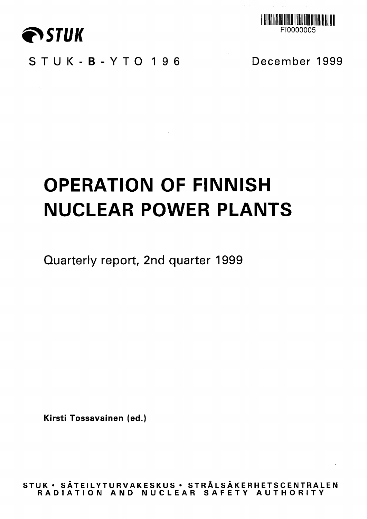

 $\sim \eta_{\rm c}$ 



STUK-B-YTO 196 December 1999

# **OPERATION OF FINNISH NUCLEAR POWER PLANTS**

 $\mathcal{L}^{\mathcal{L}}(\mathcal{L}^{\mathcal{L}})$  and  $\mathcal{L}^{\mathcal{L}}(\mathcal{L}^{\mathcal{L}})$  and  $\mathcal{L}^{\mathcal{L}}(\mathcal{L}^{\mathcal{L}})$ 

Quarterly report, 2nd quarter 1999

**Kirsti Tossavainen (ed.)**

**STU K • SATEILYTURVAKESKU S • STRALSAKERHETSCENTRALE N RADIATIO N AN D NUCLEA R SAFET Y AUTHORIT Y**

 $\sim 100$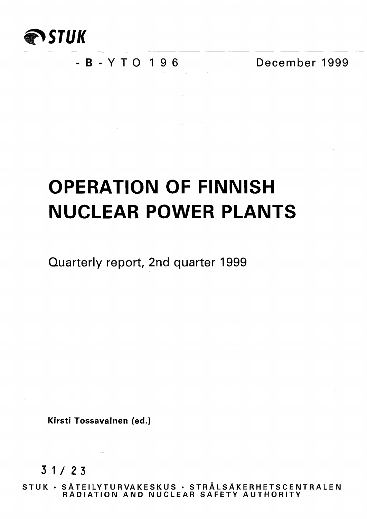

### - **B** - Y T O 1 9 6 December 1999

## **OPERATION OF FINNISH NUCLEAR POWER PLANTS**

Quarterly report, 2nd quarter 1999

**Kirsti Tossavainen (ed.)**

3 1/2 3

**STUK • SATEILYTURVAKESKUS • STRALSAKERHETSCENTRALEN RADIATION AND NUCLEAR SAFETY AUTHORITY**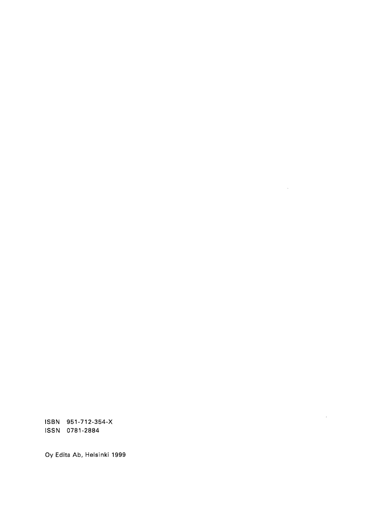ISBN 951-712-354-X ISSN 0781-2884

Oy Edita Ab, Helsinki 1999

 $\Delta \sim 1$ 

 $\bar{z}$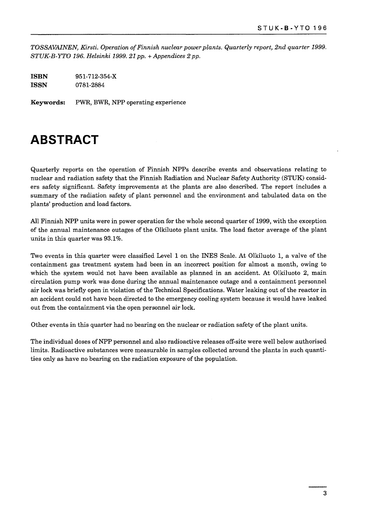*TOSSAVAINEN, Kirsti. Operation of Finnish nuclear power plants. Quarterly report, 2nd quarter 1999. STUK-B-YTO 196. Helsinki 1999. 21pp. + Appendices 2 pp.*

**ISBN** 951-712-354-X **ISSN** 0781-2884

**Keywords:** PWR, BWR, NPP operating experience

### **ABSTRACT**

Quarterly reports on the operation of Finnish NPPs describe events and observations relating to nuclear and radiation safety that the Finnish Radiation and Nuclear Safety Authority (STUK) considers safety significant. Safety improvements at the plants are also described. The report includes a summary of the radiation safety of plant personnel and the environment and tabulated data on the plants' production and load factors.

All Finnish NPP units were in power operation for the whole second quarter of 1999, with the exception of the annual maintenance outages of the Olkiluoto plant units. The load factor average of the plant units in this quarter was 93.1%.

Two events in this quarter were classified Level 1 on the INES Scale. At Olkiluoto 1, a valve of the containment gas treatment system had been in an incorrect position for almost a month, owing to which the system would not have been available as planned in an accident. At Olkiluoto 2, main circulation pump work was done during the annual maintenance outage and a containment personnel air lock was briefly open in violation of the Technical Specifications. Water leaking out of the reactor in an accident could not have been directed to the emergency cooling system because it would have leaked out from the containment via the open personnel air lock.

Other events in this quarter had no bearing on the nuclear or radiation safety of the plant units.

The individual doses of NPP personnel and also radioactive releases off-site were well below authorised limits. Radioactive substances were measurable in samples collected around the plants in such quantities only as have no bearing on the radiation exposure of the population.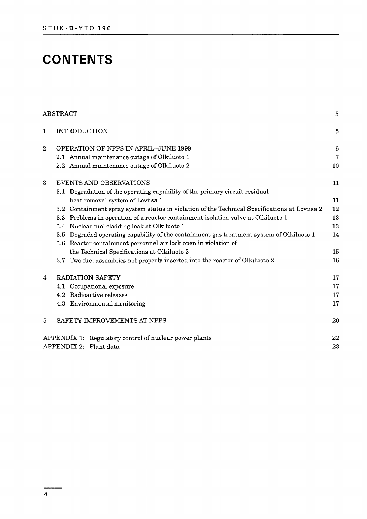### **CONTENTS**

|                | ${\rm ABSTRACT}$                                                                                      | 3               |
|----------------|-------------------------------------------------------------------------------------------------------|-----------------|
| $\mathbf{1}$   | <b>INTRODUCTION</b>                                                                                   | $\overline{5}$  |
| $\overline{2}$ | <b>OPERATION OF NPPS IN APRIL-JUNE 1999</b>                                                           | $6\phantom{1}6$ |
|                | 2.1 Annual maintenance outage of Olkiluoto 1                                                          | $\overline{7}$  |
|                | 2.2 Annual maintenance outage of Olkiluoto 2                                                          | 10              |
| 3              | <b>EVENTS AND OBSERVATIONS</b>                                                                        | 11              |
|                | 3.1 Degradation of the operating capability of the primary circuit residual                           |                 |
|                | heat removal system of Loviisa 1                                                                      | 11              |
|                | 3.2 Containment spray system status in violation of the Technical Specifications at Loviisa 2         | 12              |
|                | 3.3 Problems in operation of a reactor containment isolation valve at Olkiluoto 1                     | 13              |
|                | 3.4 Nuclear fuel cladding leak at Olkiluoto 1                                                         | 13              |
|                | Degraded operating capability of the containment gas treatment system of Olkiluoto 1<br>$3.5^{\circ}$ | 14              |
|                | 3.6 Reactor containment personnel air lock open in violation of                                       |                 |
|                | the Technical Specifications at Olkiluoto 2                                                           | 15              |
|                | Two fuel assemblies not properly inserted into the reactor of Olkiluoto 2<br>3.7                      | 16              |
| 4              | RADIATION SAFETY                                                                                      | 17              |
|                | 4.1 Occupational exposure                                                                             | 17              |
|                | 4.2 Radioactive releases                                                                              | 17              |
|                | 4.3 Environmental monitoring                                                                          | 17              |
| $\mathbf{5}$   | SAFETY IMPROVEMENTS AT NPPS                                                                           | 20              |
|                | APPENDIX 1: Regulatory control of nuclear power plants                                                | 22              |
|                | APPENDIX 2: Plant data                                                                                | 23              |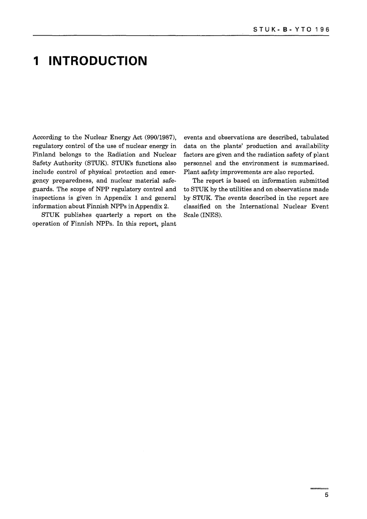### **1 INTRODUCTION**

include control of physical protection and emer- Plant safety improvements are also reported. gency preparedness, and nuclear material safe- The report is based on information submitted guards. The scope of NPP regulatory control and to STUK by the utilities and on observations made inspections is given in Appendix 1 and general by STUK. The events described in the report are information about Finnish NPPs in Appendix 2. classified on the International Nuclear Event

STUK publishes quarterly a report on the Scale (INES). operation of Finnish NPPs. In this report, plant

According to the Nuclear Energy Act (990/1987), events and observations are described, tabulated regulatory control of the use of nuclear energy in data on the plants' production and availability Finland belongs to the Radiation and Nuclear factors are given and the radiation safety of plant Safety Authority (STUK). STUK's functions also personnel and the environment is summarised,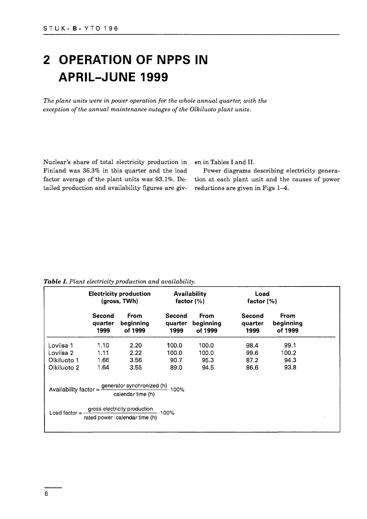## **2 OPERATION OF NPPS IN APRIL-JUNE 1999**

*The plant units were in power operation for the whole annual quarter, with the exception of the annual maintenance outages of the Olkiluoto plant units.*

Nuclear's share of total electricity production in Finland was 36.3% in this quarter and the load factor average of the plant units was 93.1%. Detailed production and availability figures are given in Tables I and II.

Power diagrams describing electricity generation at each plant unit and the causes of power reductions are given in Figs 1-4.

*Table I. Plant electricity production and availability.*

|             | <b>Electricity production</b><br>(gross, TWh) |                                                                                                              | Availability<br>factor $(\%)$ |                              | Load<br>factor $(\%)$     |                              |
|-------------|-----------------------------------------------|--------------------------------------------------------------------------------------------------------------|-------------------------------|------------------------------|---------------------------|------------------------------|
|             | Second<br>quarter<br>1999                     | From<br>beginning<br>of 1999                                                                                 | Second<br>quarter<br>1999     | From<br>beginning<br>of 1999 | Second<br>quarter<br>1999 | From<br>beginning<br>of 1999 |
| Loviisa 1   | 1.10                                          | 2.20                                                                                                         | 100.0                         | 100.0                        | 98.4                      | 99.1                         |
| Loviisa 2   | 1.11                                          | 2.22                                                                                                         | 100.0                         | 100.0                        | 99.6                      | 100.2                        |
| Olkiluoto 1 | 1.66                                          | 3.56                                                                                                         | 90.7                          | 95.3                         | 87.2                      | 94.3                         |
| Olkiluoto 2 | 1.64                                          | 3.55                                                                                                         | 89.0                          | 94.5                         | 86.6                      | 93.8                         |
|             |                                               | Availability factor = $\frac{\text{generator synchronized (h)}}{\text{sqrt(2)}}$ . 100%<br>calendar time (h) |                               |                              |                           |                              |
|             | Load factor = $-$                             | gross electricity production<br>rated power calendar time (h)                                                |                               |                              |                           |                              |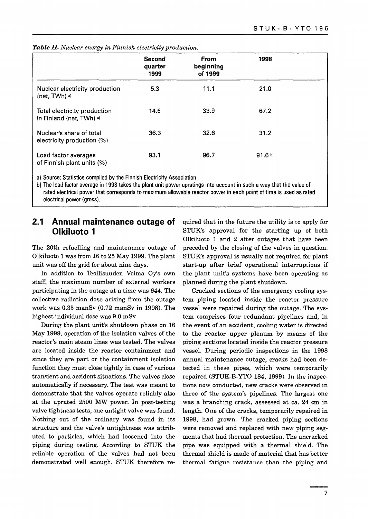|                                                          | Second<br>quarter<br>1999 | <b>From</b><br>beginning<br>of 1999 | 1998              |  |
|----------------------------------------------------------|---------------------------|-------------------------------------|-------------------|--|
| Nuclear electricity production<br>(net, TWh) a)          | 5.3                       | 11.1                                | 21.0              |  |
| Total electricity production<br>in Finland (net, TWh) a) | 14.6                      | 33.9                                | 67.2              |  |
| Nuclear's share of total<br>electricity production (%)   | 36.3                      | 32.6                                | 31.2              |  |
| Load factor averages<br>of Finnish plant units (%)       | 93.1                      | 96.7                                | 91.6 <sup>b</sup> |  |

*Table II. Nuclear energy in Finnish electricity production.*

a) Source: Statistics compiled by the Finnish Electricity Association

b) The load factor average in 1998 takes the plant unit power upratings into account in such a way that the value of rated electrical power that corresponds to maximum allowable reactor power in each point of time is used as rated electrical power (gross).

#### **2.1 Annual maintenance outage of Olkiluoto 1**

The 20th refuelling and maintenance outage of Olkiluoto 1 was from 16 to 25 May 1999. The plant unit was off the grid for about nine days.

In addition to Teollisuuden Voima Oy's own staff, the maximum number of external workers participating in the outage at a time was 644. The collective radiation dose arising from the outage work was 0.35 manSv (0.72 manSv in 1998). The highest individual dose was 9.0 mSv.

During the plant unit's shutdown phase on 16 May 1999, operation of the isolation valves of the reactor's main steam lines was tested. The valves are located inside the reactor containment and since they are part or the containment isolation function they must close tightly in case of various transient and accident situations. The valves close automatically if necessary. The test was meant to demonstrate that the valves operate reliably also at the uprated 2500 MW power. In post-testing valve tightness tests, one untight valve was found. Nothing out of the ordinary was found in its structure and the valve's untightness was attributed to particles, which had loosened into the piping during testing. According to STUK the reliable operation of the valves had not been demonstrated well enough. STUK therefore required that in the future the utility is to apply for STUK's approval for the starting up of both Olkiluoto 1 and 2 after outages that have been preceded by the closing of the valves in question. STUK's approval is usually not required for plant start-up after brief operational interruptions if the plant unit's systems have been operating as planned during the plant shutdown.

Cracked sections of the emergency cooling system piping located inside the reactor pressure vessel were repaired during the outage. The system comprises four redundant pipelines and, in the event of an accident, cooling water is directed to the reactor upper plenum by means of the piping sections located inside the reactor pressure vessel. During periodic inspections in the 1998 annual maintenance outage, cracks had been detected in these pipes, which were temporarily repaired (STUK-B-YTO 184, 1999). In the inspections now conducted, new cracks were observed in three of the system's pipelines. The largest one was a branching crack, assessed at ca. 24 cm in length. One of the cracks, temporarily repaired in 1998, had grown. The cracked piping sections were removed and replaced with new piping segments that had thermal protection. The uncracked pipe was equipped with a thermal shield. The thermal shield is made of material that has better thermal fatigue resistance than the piping and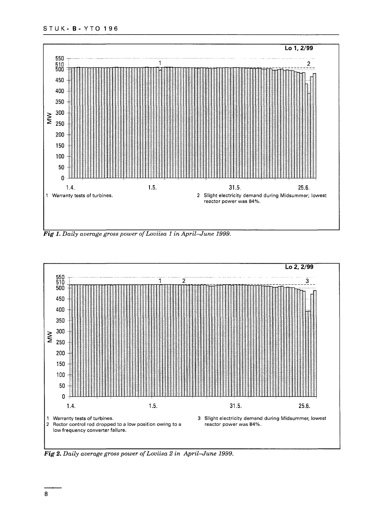#### STU K- B- YTO 1 96



*Fig 1. Daily average gross power ofLoviisa 1 in April—June 1999.*



*Fig 2. Daily average gross power ofLoviisa 2 in April—June 1999.*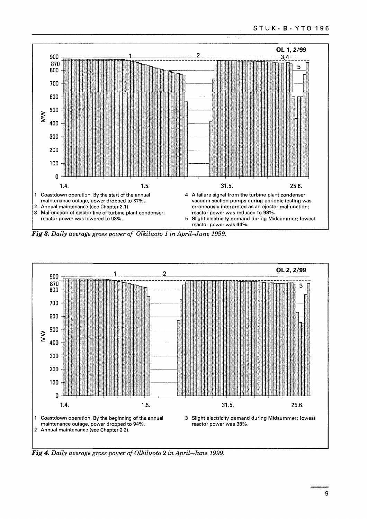

*Fig 3. Daily average gross power of Olkiluoto 1 in April-June 1999.*



*Fig 4. Daily average gross power of Olkiluoto 2 in April-June 1999.*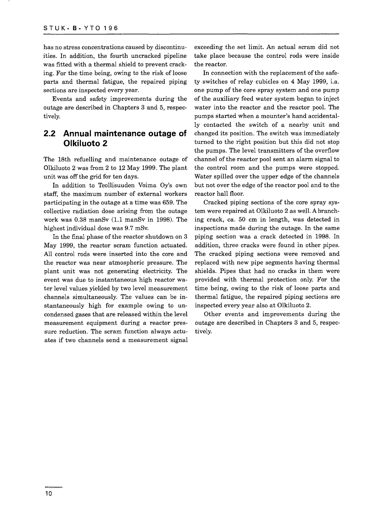has no stress concentrations caused by discontinuities. In addition, the fourth uncracked pipeline was fitted with a thermal shield to prevent cracking. For the time being, owing to the risk of loose parts and thermal fatigue, the repaired piping sections are inspected every year.

Events and safety improvements during the outage are described in Chapters 3 and 5, respectively.

#### **2.2 Annual maintenance outage of Olkiluoto 2**

The 18th refuelling and maintenance outage of Olkiluoto 2 was from 2 to 12 May 1999. The plant unit was off the grid for ten days.

In addition to Teollisuuden Voima Oy's own staff, the maximum number of external workers participating in the outage at a time was 659. The collective radiation dose arising from the outage work was 0.38 manSv (1.1 manSv in 1998). The highest individual dose was 9.7 mSv.

In the final phase of the reactor shutdown on 3 May 1999, the reactor scram function actuated. All control rods were inserted into the core and the reactor was near atmospheric pressure. The plant unit was not generating electricity. The event was due to instantaneous high reactor water level values yielded by two level measurement channels simultaneously. The values can be instantaneously high for example owing to uncondensed gases that are released within the level measurement equipment during a reactor pressure reduction. The scram function always actuates if two channels send a measurement signal exceeding the set limit. An actual scram did not take place because the control rods were inside the reactor.

In connection with the replacement of the safety switches of relay cubicles on 4 May 1999, i.a. one pump of the core spray system and one pump of the auxiliary feed water system began to inject water into the reactor and the reactor pool. The pumps started when a mounter's hand accidentally contacted the switch of a nearby unit and changed its position. The switch was immediately turned to the right position but this did not stop the pumps. The level transmitters of the overflow channel of the reactor pool sent an alarm signal to the control room and the pumps were stopped. Water spilled over the upper edge of the channels but not over the edge of the reactor pool and to the reactor hall floor.

Cracked piping sections of the core spray system were repaired at Olkiluoto 2 as well. A branching crack, ca. 50 cm in length, was detected in inspections made during the outage. In the same piping section was a crack detected in 1998. In addition, three cracks were found in other pipes. The cracked piping sections were removed and replaced with new pipe segments having thermal shields. Pipes that had no cracks in them were provided with thermal protection only. For the time being, owing to the risk of loose parts and thermal fatigue, the repaired piping sections are inspected every year also at Olkiluoto 2.

Other events and improvements during the outage are described in Chapters 3 and 5, respectively.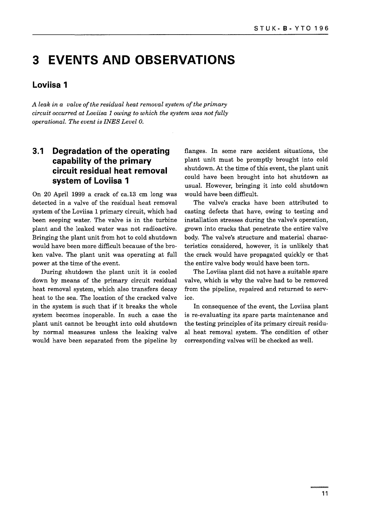### **3 EVENTS AND OBSERVATIONS**

#### **Loviisa 1**

*A leak in a valve of the residual heat removal system of the primary circuit occurred at Loviisa 1 owing to which the system was not fully operational. The event is INES Level 0.*

#### **3.1 Degradation of the operating capability of the primary circuit residual heat removal system of Loviisa 1**

On 20 April 1999 a crack of ca.13 cm long was detected in a valve of the residual heat removal system of the Loviisa 1 primary circuit, which had been seeping water. The valve is in the turbine plant and the leaked water was not radioactive. Bringing the plant unit from hot to cold shutdown would have been more difficult because of the broken valve. The plant unit was operating at full power at the time of the event.

During shutdown the plant unit it is cooled down by means of the primary circuit residual heat removal system, which also transfers decay heat to the sea. The location of the cracked valve in the system is such that if it breaks the whole system becomes inoperable. In such a case the plant unit cannot be brought into cold shutdown by normal measures unless the leaking valve would have been separated from the pipeline by

flanges. In some rare accident situations, the plant unit must be promptly brought into cold shutdown. At the time of this event, the plant unit could have been brought into hot shutdown as usual. However, bringing it into cold shutdown would have been difficult.

The valve's cracks have been attributed to casting defects that have, owing to testing and installation stresses during the valve's operation, grown into cracks that penetrate the entire valve body. The valve's structure and material characteristics considered, however, it is unlikely that the crack would have propagated quickly or that the entire valve body would have been torn.

The Loviisa plant did not have a suitable spare valve, which is why the valve had to be removed from the pipeline, repaired and returned to service.

In consequence of the event, the Loviisa plant is re-evaluating its spare parts maintenance and the testing principles of its primary circuit residual heat removal system. The condition of other corresponding valves will be checked as well.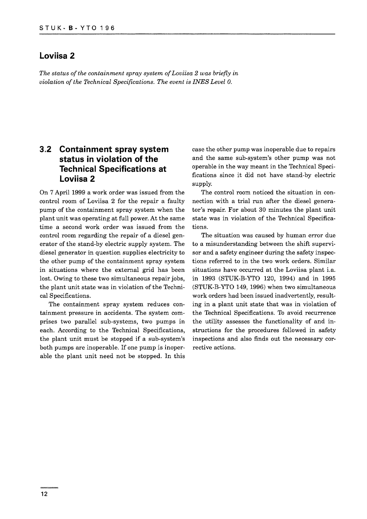#### **Loviisa 2**

*The status of the containment spray system of Loviisa 2 was briefly in violation of the Technical Specifications. The event is INES Level 0.*

#### **3.2 Containment spray system status in violation of the Technical Specifications at Loviisa 2**

On 7 April 1999 a work order was issued from the control room of Loviisa 2 for the repair a faulty pump of the containment spray system when the plant unit was operating at full power. At the same time a second work order was issued from the control room regarding the repair of a diesel generator of the stand-by electric supply system. The diesel generator in question supplies electricity to the other pump of the containment spray system in situations where the external grid has been lost. Owing to these two simultaneous repair jobs, the plant unit state was in violation of the Technical Specifications.

The containment spray system reduces containment pressure in accidents. The system comprises two parallel sub-systems, two pumps in each. According to the Technical Specifications, the plant unit must be stopped if a sub-system's both pumps are inoperable. If one pump is inoperable the plant unit need not be stopped. In this case the other pump was inoperable due to repairs and the same sub-system's other pump was not operable in the way meant in the Technical Specifications since it did not have stand-by electric supply.

The control room noticed the situation in connection with a trial run after the diesel generator's repair. For about 30 minutes the plant unit state was in violation of the Technical Specifications.

The situation was caused by human error due to a misunderstanding between the shift supervisor and a safety engineer during the safety inspections referred to in the two work orders. Similar situations have occurred at the Loviisa plant i.a. in 1993 (STUK-B-YTO 120, 1994) and in 1995 (STUK-B-YTO 149, 1996) when two simultaneous work orders had been issued inadvertently, resulting in a plant unit state that was in violation of the Technical Specifications. To avoid recurrence the utility assesses the functionality of and instructions for the procedures followed in safety inspections and also finds out the necessary corrective actions.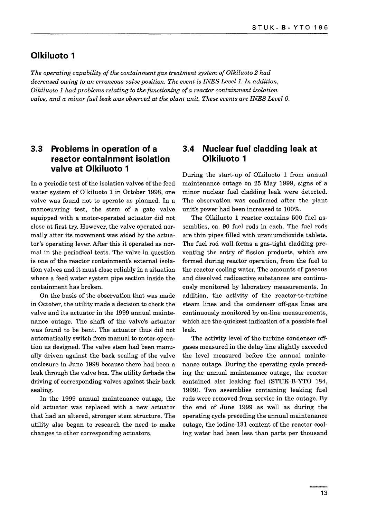#### **Olkiluoto 1**

*The operating capability of the containment gas treatment system of Olkiluoto 2 had decreased owing to an erroneous valve position. The event is INES Level 1. In addition, Olkiluoto 1 had problems relating to the functioning of a reactor containment isolation valve, and a minor fuel leak was observed at the plant unit. These events are INES Level 0.*

#### **3.3 Problems in operation of a reactor containment isolation valve at Olkiluoto 1**

In a periodic test of the isolation valves of the feed water system of Olkiluoto 1 in October 1998, one valve was found not to operate as planned. In a manoeuvring test, the stem of a gate valve equipped with a motor-operated actuator did not close at first try. However, the valve operated normally after its movement was aided by the actuator's operating lever. After this it operated as normal in the periodical tests. The valve in question is one of the reactor containment's external isolation valves and it must close reliably in a situation where a feed water system pipe section inside the containment has broken.

On the basis of the observation that was made in October, the utility made a decision to check the valve and its actuator in the 1999 annual maintenance outage. The shaft of the valve's actuator was found to be bent. The actuator thus did not automatically switch from manual to motor-operation as designed. The valve stem had been manually driven against the back sealing of the valve enclosure in June 1998 because there had been a leak through the valve box. The utility forbade the driving of corresponding valves against their back sealing.

In the 1999 annual maintenance outage, the old actuator was replaced with a new actuator that had an altered, stronger stem structure. The utility also began to research the need to make changes to other corresponding actuators.

#### **3.4 Nuclear fuel cladding leak at Olkiluoto 1**

During the start-up of Olkiluoto 1 from annual maintenance outage on 25 May 1999, signs of a minor nuclear fuel cladding leak were detected. The observation was confirmed after the plant unit's power had been increased to 100%.

The Olkiluoto 1 reactor contains 500 fuel assemblies, ca. 90 fuel rods in each. The fuel rods are thin pipes filled with uraniumdioxide tablets. The fuel rod wall forms a gas-tight cladding preventing the entry of fission products, which are formed during reactor operation, from the fuel to the reactor cooling water. The amounts of gaseous and dissolved radioactive substances are continuously monitored by laboratory measurements. In addition, the activity of the reactor-to-turbine steam lines and the condenser off-gas lines are continuously monitored by on-line measurements, which are the quickest indication of a possible fuel leak.

The activity level of the turbine condenser offgases measured in the delay line slightly exceeded the level measured before the annual maintenance outage. During the operating cycle preceding the annual maintenance outage, the reactor contained also leaking fuel (STUK-B-YTO 184, 1999). Two assemblies containing leaking fuel rods were removed from service in the outage. By the end of June 1999 as well as during the operating cycle preceding the annual maintenance outage, the iodine-131 content of the reactor cooling water had been less than parts per thousand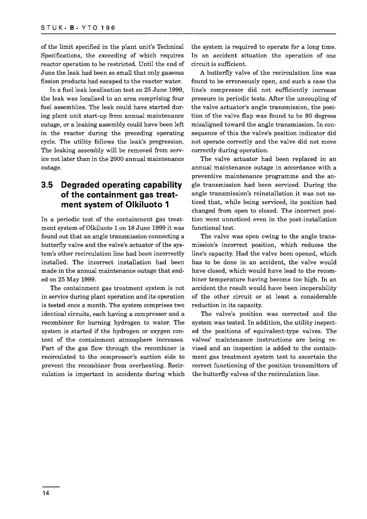of the limit specified in the plant unit's Technical Specifications, the exceeding of which requires reactor operation to be restricted. Until the end of June the leak had been so small that only gaseous fission products had escaped to the reactor water.

In a fuel leak localisation test on 25 June 1999, the leak was localised to an area comprising four fuel assemblies. The leak could have started during plant unit start-up from annual maintenance outage, or a leaking assembly could have been left in the reactor during the preceding operating cycle. The utility follows the leak's progression. The leaking assembly will be removed from service not later than in the 2000 annual maintenance outage.

#### **3.5 Degraded operating capability of the containment gas treatment system of Olkiluoto 1**

In a periodic test of the containment gas treatment system of Olkiluoto 1 on 18 June 1999 it was found out that an angle transmission connecting a butterfly valve and the valve's actuator of the system's other recirculation line had been incorrectly installed. The incorrect installation had been made in the annual maintenance outage that ended on 25 May 1999.

The containment gas treatment system is not in service during plant operation and its operation is tested once a month. The system comprises two identical circuits, each having a compressor and a recombiner for burning hydrogen to water. The system is started if the hydrogen or oxygen content of the containment atmosphere increases. Part of the gas flow through the recombiner is recirculated to the compressor's suction side to prevent the recombiner from overheating. Recirculation is important in accidents during which the system is required to operate for a long time. In an accident situation the operation of one circuit is sufficient.

A butterfly valve of the recirculation line was found to be erroneously open, and such a case the line's compressor did not sufficiently increase pressure in periodic tests. After the uncoupling of the valve actuator's angle transmission, the position of the valve flap was found to be 90 degrees misaligned toward the angle transmission. In consequence of this the valve's position indicator did not operate correctly and the valve did not move correctly during operation.

The valve actuator had been replaced in an annual maintenance outage in accordance with a preventive maintenance programme and the angle transmission had been serviced. During the angle transmission's reinstallation it was not noticed that, while being serviced, its position had changed from open to closed. The incorrect position went unnoticed even in the post-installation functional test.

The valve was open owing to the angle transmission's incorrect position, which reduces the line's capacity. Had the valve been opened, which has to be done in an accident, the valve would have closed, which would have lead to the recombiner temperature having become too high. In an accident the result would have been inoperability of the other circuit or at least a considerable reduction in its capacity.

The valve's position was corrected and the system was tested. In addition, the utility inspected the positions of equivalent-type valves. The valves' maintenance instructions are being revised and an inspection is added to the containment gas treatment system test to ascertain the correct functioning of the position transmitters of the butterfly valves of the recirculation line.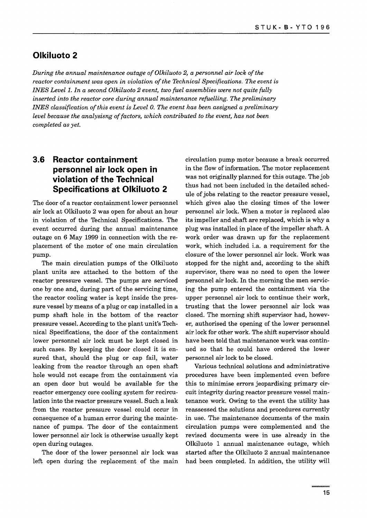#### **Olkiluoto 2**

*During the annual maintenance outage of Olkiluoto 2, a personnel air lock of the reactor containment was open in violation of the Technical Specifications. The event is INES Level 1. In a second Olkiluoto 2 event, two fuel assemblies were not quite fully inserted into the reactor core during annual maintenance refuelling. The preliminary INES classification of this event is Level 0. The event has been assigned a preliminary level because the analysisng of factors, which contributed to the event, has not been completed as yet.*

#### **3.6 Reactor containment personnel air lock open in violation of the Technical Specifications at Olkiluoto 2**

The door of a reactor containment lower personnel air lock at Olkiluoto 2 was open for about an hour in violation of the Technical Specifications. The event occurred during the annual maintenance outage on 6 May 1999 in connection with the replacement of the motor of one main circulation pump.

The main circulation pumps of the Olkiluoto plant units are attached to the bottom of the reactor pressure vessel. The pumps are serviced one by one and, during part of the servicing time, the reactor cooling water is kept inside the pressure vessel by means of a plug or cap installed in a pump shaft hole in the bottom of the reactor pressure vessel. According to the plant unit's Technical Specifications, the door of the containment lower personnel air lock must be kept closed in such cases. By keeping the door closed it is ensured that, should the plug or cap fail, water leaking from the reactor through an open shaft hole would not escape from the containment via an open door but would be available for the reactor emergency core cooling system for recirculation into the reactor pressure vessel. Such a leak from the reactor pressure vessel could occur in consequence of a human error during the maintenance of pumps. The door of the containment lower personnel air lock is otherwise usually kept open during outages.

The door of the lower personnel air lock was left open during the replacement of the main circulation pump motor because a break occurred in the flow of information. The motor replacement was not originally planned for this outage. The job thus had not been included in the detailed schedule of jobs relating to the reactor pressure vessel, which gives also the closing times of the lower personnel air lock. When a motor is replaced also its impeller and shaft are replaced, which is why a plug was installed in place of the impeller shaft. A work order was drawn up for the replacement work, which included i.a. a requirement for the closure of the lower personnel air lock. Work was stopped for the night and, according to the shift supervisor, there was no need to open the lower personnel air lock. In the morning the men servicing the pump entered the containment via the upper personnel air lock to continue their work, trusting that the lower personnel air lock was closed. The morning shift supervisor had, however, authorised the opening of the lower personnel air lock for other work. The shift supervisor should have been told that maintenance work was continued so that he could have ordered the lower personnel air lock to be closed.

Various technical solutions and administrative procedures have been implemented even before this to minimise errors jeopardising primary circuit integrity during reactor pressure vessel maintenance work. Owing to the event the utility has reassessed the solutions and procedures currently in use. The maintenance documents of the main circulation pumps were complemented and the revised documents were in use already in the Olkiluoto 1 annual maintenance outage, which started after the Olkiluoto 2 annual maintenance had been completed. In addition, the utility will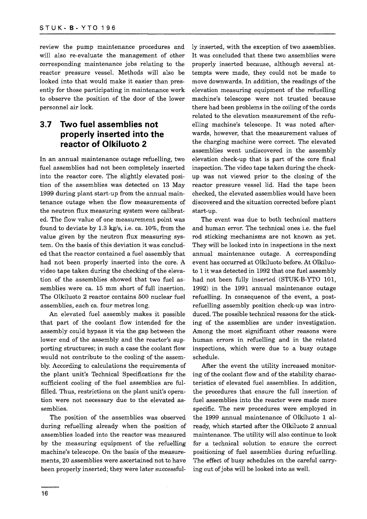review the pump maintenance procedures and will also re-evaluate the management of other corresponding maintenance jobs relating to the reactor pressure vessel. Methods will also be looked into that would make it easier than presently for those participating in maintenance work to observe the position of the door of the lower personnel air lock.

### **3.7 Two fuel assemblies not properly inserted into the reactor of Olkiluoto 2**

In an annual maintenance outage refuelling, two fuel assemblies had not been completely inserted into the reactor core. The slightly elevated position of the assemblies was detected on 13 May 1999 during plant start-up from the annual maintenance outage when the flow measurements of the neutron flux measuring system were calibrated. The flow value of one measurement point was found to deviate by 1.3 kg/s, i.e. ca. 10%, from the value given by the neutron flux measuring system. On the basis of this deviation it was concluded that the reactor contained a fuel assembly that had not been properly inserted into the core. A video tape taken during the checking of the elevation of the assemblies showed that two fuel assemblies were ca. 15 mm short of full insertion. The Olkiluoto 2 reactor contains 500 nuclear fuel assemblies, each ca. four metres long.

An elevated fuel assembly makes it possible that part of the coolant flow intended for the assembly could bypass it via the gap between the lower end of the assembly and the reactor's supporting structures; in such a case the coolant flow would not contribute to the cooling of the assembly. According to calculations the requirements of the plant unit's Technical Specifications for the sufficient cooling of the fuel assemblies are fulfilled. Thus, restrictions on the plant unit's operation were not necessary due to the elevated assemblies.

The position of the assemblies was observed during refuelling already when the position of assemblies loaded into the reactor was measured by the measuring equipment of the refuelling machine's telescope. On the basis of the measurements, 20 assemblies were ascertained not to have been properly inserted; they were later successful-

ly inserted, with the exception of two assemblies. It was concluded that these two assemblies were properly inserted because, although several attempts were made, they could not be made to move downwards. In addition, the readings of the elevation measuring equipment of the refuelling machine's telescope were not trusted because there had been problems in the coiling of the cords related to the elevation measurement of the refuelling machine's telescope. It was noted afterwards, however, that the measurement values of the charging machine were correct. The elevated assemblies went undiscovered in the assembly elevation check-up that is part of the core final inspection. The video tape taken during the checkup was not viewed prior to the closing of the reactor pressure vessel lid. Had the tape been checked, the elevated assemblies would have been discovered and the situation corrected before plant start-up.

The event was due to both technical matters and human error. The technical ones i.e. the fuel rod sticking mechanisms are not known as yet. They will be looked into in inspections in the next annual maintenance outage. A corresponding event has occurred at Olkiluoto before. At Olkiluoto 1 it was detected in 1992 that one fuel assembly had not been fully inserted (STUK-B-YTO 101, 1992) in the 1991 annual maintenance outage refuelling. In consequence of the event, a postrefuelling assembly position check-up was introduced. The possible technical reasons for the sticking of the assemblies are under investigation. Among the most significant other reasons were human errors in refuelling and in the related inspections, which were due to a busy outage schedule.

After the event the utility increased monitoring of the coolant flow and of the stability characteristics of elevated fuel assemblies. In addition, the procedures that ensure the full insertion of fuel assemblies into the reactor were made more specific. The new procedures were employed in the 1999 annual maintenance of Olkiluoto 1 already, which started after the Olkiluoto 2 annual maintenance. The utility will also continue to look for a technical solution to ensure the correct positioning of fuel assemblies during refuelling. The effect of busy schedules on the careful carrying out of jobs will be looked into as well.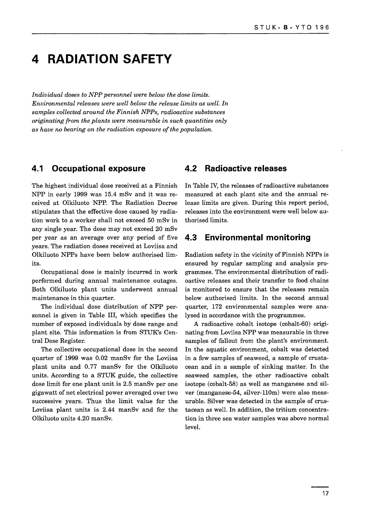### **4 RADIATION SAFETY**

*Individual doses to NPP personnel were below the dose limits. Environmental releases were well below the release limits as well. In samples collected around the Finnish NPPs, radioactive substances originating from the plants were measurable in such quantities only as have no bearing on the radiation exposure of the population.*

#### **4.1 Occupational exposure**

The highest individual dose received at a Finnish NPP in early 1999 was 15.4 mSv and it was received at Olkiluoto NPP. The Radiation Decree stipulates that the effective dose caused by radiation work to a worker shall not exceed 50 mSv in any single year. The dose may not exceed 20 mSv per year as an average over any period of five years. The radiation doses received at Loviisa and Olkiluoto NPPs have been below authorised limits.

Occupational dose is mainly incurred in work performed during annual maintenance outages. Both Olkiluoto plant units underwent annual maintenance in this quarter.

The individual dose distribution of NPP personnel is given in Table III, which specifies the number of exposed individuals by dose range and plant site. This information is from STUK's Central Dose Register.

The collective occupational dose in the second quarter of 1999 was 0.02 manSv for the Loviisa plant units and 0.77 manSv for the Olkiluoto units. According to a STUK guide, the collective dose limit for one plant unit is 2.5 manSv per one gigawatt of net electrical power averaged over two successive years. Thus the limit value for the Loviisa plant units is 2.44 manSv and for the Olkiluoto units 4.20 manSv.

#### **4.2 Radioactive releases**

In Table IV, the releases of radioactive substances measured at each plant site and the annual release limits are given. During this report period, releases into the environment were well below authorised limits.

#### **4.3 Environmental monitoring**

Radiation safety in the vicinity of Finnish NPPs is ensured by regular sampling and analysis programmes. The environmental distribution of radioactive releases and their transfer to food chains is monitored to ensure that the releases remain below authorised limits. In the second annual quarter, 172 environmental samples were analysed in accordance with the programmes.

A radioactive cobalt isotope (cobalt-60) originating from Loviisa NPP was measurable in three samples of fallout from the plant's environment. In the aquatic environment, cobalt was detected in a few samples of seaweed, a sample of crustacean and in a sample of sinking matter. In the seaweed samples, the other radioactive cobalt isotope (cobalt-58) as well as manganese and silver (manganese-54, silver-110m) were also measurable. Silver was detected in the sample of crustacean as well. In addition, the tritium concentration in three sea water samples was above normal level.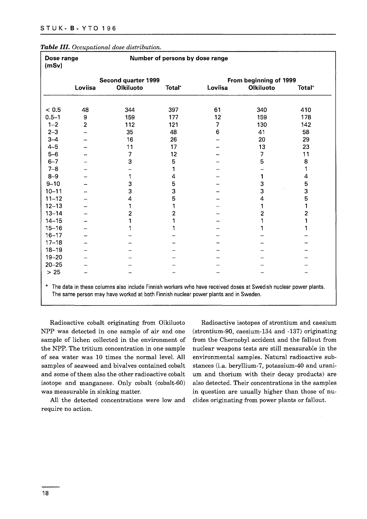| Dose range<br>(mSv) |                |                     | Number of persons by dose range |         |                        |                    |
|---------------------|----------------|---------------------|---------------------------------|---------|------------------------|--------------------|
|                     |                | Second quarter 1999 |                                 |         | From beginning of 1999 |                    |
|                     | Loviisa        | <b>Olkiluoto</b>    | <b>Total</b> <sup>*</sup>       | Loviisa | <b>Olkiluoto</b>       | Total <sup>*</sup> |
|                     |                |                     |                                 |         |                        |                    |
| < 0.5               | 48             | 344                 | 397                             | 61      | 340                    | 410                |
| $0.5 - 1$           | 9              | 159                 | 177                             | 12      | 159                    | 178                |
| $1 - 2$             | $\overline{2}$ | 112                 | 121                             | 7       | 130                    | 142                |
| $2 - 3$             |                | 35                  | 48                              | 6       | 41                     | 58                 |
| $3 - 4$             |                | 16                  | 26                              |         | 20                     | 29                 |
| $4 - 5$             |                | 11                  | 17                              |         | 13                     | 23                 |
| $5-6$               |                | 7                   | 12                              |         | 7                      | 11                 |
| $6 - 7$             |                | 3                   | 5                               |         | 5                      | 8                  |
| $7 - 8$             |                |                     | 1                               |         |                        |                    |
| $8 - 9$             |                |                     | 4                               |         | 1                      | 4                  |
| $9 - 10$            |                | 3                   | 5                               |         | 3                      | 5                  |
| $10 - 11$           |                | 3                   | 3                               |         | 3                      | 3                  |
| $11 - 12$           |                | 4                   | 5                               |         | 4                      | 5                  |
| $12 - 13$           |                |                     |                                 |         | 1                      |                    |
| $13 - 14$           |                | $\mathbf{2}$        | $\overline{2}$                  |         | 2                      | 2                  |
| $14 - 15$           |                | 1                   |                                 |         |                        |                    |
| $15 - 16$           |                |                     |                                 |         |                        |                    |
| $16 - 17$           |                |                     |                                 |         |                        |                    |
| $17 - 18$           |                |                     |                                 |         |                        |                    |
| $18 - 19$           |                |                     |                                 |         |                        |                    |
| $19 - 20$           |                |                     |                                 |         |                        |                    |
| $20 - 25$           |                |                     |                                 |         |                        |                    |
| $>25$               |                |                     |                                 |         |                        |                    |

#### *Table III. Occupational dose distribution.*

\* The data in these The same person may have worked at both Finnish nuclear power plants and in Sweden. columns also include Finnish workers who have received doses at Swedish nuclear power plants.

Radioactive cobalt originating from Olkiluoto NPP was detected in one sample of air and one sample of lichen collected in the environment of the NPP. The tritium concentration in one sample of sea water was 10 times the normal level. All samples of seaweed and bivalves contained cobalt and some of them also the other radioactive cobalt isotope and manganese. Only cobalt (cobalt-60) was measurable in sinking matter.

All the detected concentrations were low and require no action.

Radioactive isotopes of strontium and caesium (strontium-90, caesium-134 and -137) originating from the Chernobyl accident and the fallout from nuclear weapons tests are still measurable in the environmental samples. Natural radioactive substances (i.a. beryllium-7, potassium-40 and uranium and thorium with their decay products) are also detected. Their concentrations in the samples in question are usually higher than those of nuclides originating from power plants or fallout.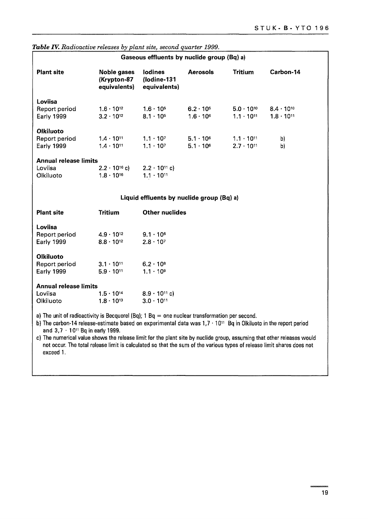| Gaseous effluents by nuclide group (Bq) a)                                                                                                                                                                                                                                                                                                                                                                    |                                               |                                               |                                          |                                            |                                            |  |
|---------------------------------------------------------------------------------------------------------------------------------------------------------------------------------------------------------------------------------------------------------------------------------------------------------------------------------------------------------------------------------------------------------------|-----------------------------------------------|-----------------------------------------------|------------------------------------------|--------------------------------------------|--------------------------------------------|--|
| <b>Plant site</b>                                                                                                                                                                                                                                                                                                                                                                                             | Noble gases<br>(Krypton-87<br>equivalents)    | <b>lodines</b><br>(lodine-131<br>equivalents) | <b>Aerosols</b>                          | <b>Tritium</b>                             | Carbon-14                                  |  |
| Loviisa<br>Report period<br><b>Early 1999</b>                                                                                                                                                                                                                                                                                                                                                                 | $1.6 \cdot 10^{12}$<br>$3.2 \cdot 10^{12}$    | $1.6 \cdot 10^{5}$<br>$8.1 \cdot 10^{5}$      | $6.2 \cdot 10^{5}$<br>$1.6 \cdot 10^{6}$ | $5.0 \cdot 10^{10}$<br>$1.1 \cdot 10^{11}$ | $8.4 \cdot 10^{10}$<br>$1.8 \cdot 10^{11}$ |  |
| <b>Olkiluoto</b><br>Report period<br>Early 1999<br><b>Annual release limits</b>                                                                                                                                                                                                                                                                                                                               | $1.4 \cdot 10^{11}$<br>$1.4 \cdot 10^{11}$    | $1.1 \cdot 10^{7}$<br>$1.1 \cdot 10^{7}$      | $5.1 \cdot 10^{6}$<br>$5.1 \cdot 10^{6}$ | $1.1 \cdot 10^{11}$<br>$2.7 \cdot 10^{11}$ | b)<br>b)                                   |  |
| Loviisa<br>Olkiluoto                                                                                                                                                                                                                                                                                                                                                                                          | $2.2 \cdot 10^{16}$ c)<br>$1.8 \cdot 10^{16}$ | $2.2 \cdot 10^{11}$ c)<br>$1.1 \cdot 10^{11}$ |                                          |                                            |                                            |  |
|                                                                                                                                                                                                                                                                                                                                                                                                               |                                               | Liquid effluents by nuclide group (Bq) a)     |                                          |                                            |                                            |  |
| <b>Plant site</b>                                                                                                                                                                                                                                                                                                                                                                                             | <b>Tritium</b>                                | <b>Other nuclides</b>                         |                                          |                                            |                                            |  |
| Loviisa<br>Report period<br>Early 1999                                                                                                                                                                                                                                                                                                                                                                        | $4.9 \cdot 10^{12}$<br>$8.8 \cdot 10^{12}$    | $9.1 \cdot 10^{6}$<br>$2.8 \cdot 10^{7}$      |                                          |                                            |                                            |  |
| <b>Olkiluoto</b><br>Report period<br>Early 1999                                                                                                                                                                                                                                                                                                                                                               | $3.1 \cdot 10^{11}$<br>$5.9 \cdot 10^{11}$    | $6.2 \cdot 10^{8}$<br>$1.1 \cdot 10^{9}$      |                                          |                                            |                                            |  |
| <b>Annual release limits</b><br>Loviisa<br>Olkiluoto                                                                                                                                                                                                                                                                                                                                                          | $1.5 \cdot 10^{14}$<br>$1.8 \cdot 10^{13}$    | $8.9 \cdot 10^{11}$ c)<br>$3.0 \cdot 10^{11}$ |                                          |                                            |                                            |  |
| a) The unit of radioactivity is Becquerel (Bq); $1 \text{ Bq} = \text{one nuclear transformation per second.}$<br>b) The carbon-14 release-estimate based on experimental data was $1.7 \cdot 10^{11}$ Bq in Olkiluoto in the report period<br>and $3.7 \cdot 10^{11}$ Bq in early 1999.<br>a). Tha numaajaal yalue ahayya dha salaaan limit fay tha plant aita buunudida nuunguaan ahayyahay salaanna wuwuld |                                               |                                               |                                          |                                            |                                            |  |

*Table IV. Radioactive releases by plant site, second quarter 1999.*

c) The numerical value shows the release limit for the plant site by nuclide group, assuming that other releases would not occur. The total release limit is calculated so that the sum of the various types of release limit shares does not exceed 1.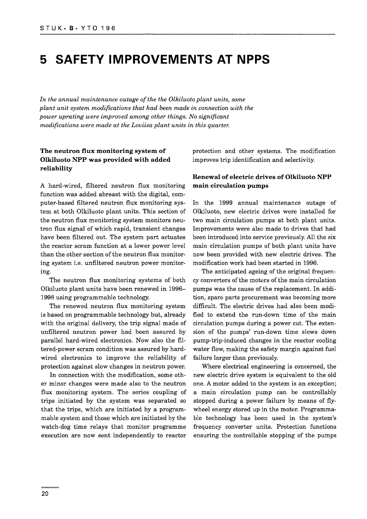### **5 SAFETY IMPROVEMENTS AT NPPS**

*In the annual maintenance outage of the the Olkiluoto plant units, some plant unit system modifications that had been made in connection with the power uprating were improved among other things. No significant modifications were made at the Loviisa plant units in this quarter.*

#### **The neutron flux monitoring system of Olkiluoto NPP was provided with added reliability**

A hard-wired, filtered neutron flux monitoring function was added abreast with the digital, computer-based filtered neutron flux monitoring system at both Olkiluoto plant units. This section of the neutron flux monitoring system monitors neutron flux signal of which rapid, transient changes have been filtered out. The system part actuates the reactor scram function at a lower power level than the other section of the neutron flux monitoring system i.e. unfiltered neutron power monitoring.

The neutron flux monitoring systems of both Olkiluoto plant units have been renewed in 1996- 1998 using programmable technology.

The renewed neutron flux monitoring system is based on programmable technology but, already with the original delivery, the trip signal made of unfiltered neutron power had been assured by parallel hard-wired electronics. Now also the filtered-power scram condition was assured by hardwired electronics to improve the reliability of protection against slow changes in neutron power.

In connection with the modification, some other minor changes were made also to the neutron flux monitoring system. The series coupling of trips initiated by the system was separated so that the trips, which are initiated by a programmable system and those which are initiated by the watch-dog time relays that monitor programme execution are now sent independently to reactor

protection and other systems. The modification improves trip identification and selectivity.

#### **Renewal of electric drives of Olkiluoto NPP main circulation pumps**

In the 1999 annual maintenance outage of Olkiluoto, new electric drives were installed for two main circulation pumps at both plant units. Improvements were also made to drives that had been introduced into service previously. All the six main circulation pumps of both plant units have now been provided with new electric drives. The modification work had been started in 1996.

The anticipated ageing of the original frequency converters of the motors of the main circulation pumps was the cause of the replacement. In addition, spare parts procurement was becoming more difficult. The electric drives had also been modified to extend the run-down time of the main circulation pumps during a power cut. The extension of the pumps' run-down time slows down pump-trip-induced changes in the reactor cooling water flow, making the safety margin against fuel failure larger than previously.

Where electrical engineering is concerned, the new electric drive system is equivalent to the old one. A motor added to the system is an exception; a main circulation pump can be controllably stopped during a power failure by means of flywheel energy stored up in the motor. Programmable technology has been used in the system's frequency converter units. Protection functions ensuring the controllable stopping of the pumps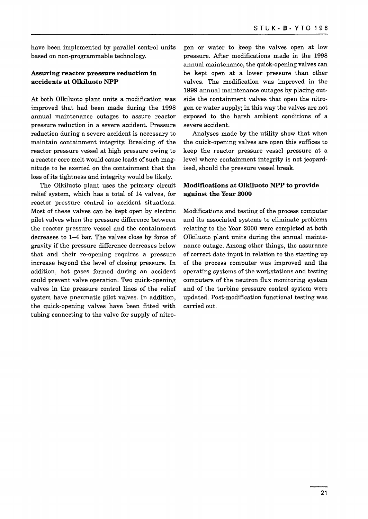have been implemented by parallel control units based on non-programmable technology.

#### **Assuring reactor pressure reduction in accidents at Olkiluoto NPP**

At both Olkiluoto plant units a modification was improved that had been made during the 1998 annual maintenance outages to assure reactor pressure reduction in a severe accident. Pressure reduction during a severe accident is necessary to maintain containment integrity. Breaking of the reactor pressure vessel at high pressure owing to a reactor core melt would cause loads of such magnitude to be exerted on the containment that the loss of its tightness and integrity would be likely.

The Olkiluoto plant uses the primary circuit relief system, which has a total of 14 valves, for reactor pressure control in accident situations. Most of these valves can be kept open by electric pilot valves when the pressure difference between the reactor pressure vessel and the containment decreases to 1-4 bar. The valves close by force of gravity if the pressure difference decreases below that and their re-opening requires a pressure increase beyond the level of closing pressure. In addition, hot gases formed during an accident could prevent valve operation. Two quick-opening valves in the pressure control lines of the relief system have pneumatic pilot valves. In addition, the quick-opening valves have been fitted with tubing connecting to the valve for supply of nitrogen or water to keep the valves open at low pressure. After modifications made in the 1998 annual maintenance, the quick-opening valves can be kept open at a lower pressure than other valves. The modification was improved in the 1999 annual maintenance outages by placing outside the containment valves that open the nitrogen or water supply; in this way the valves are not exposed to the harsh ambient conditions of a severe accident.

Analyses made by the utility show that when the quick-opening valves are open this suffices to keep the reactor pressure vessel pressure at a level where containment integrity is not jeopardised, should the pressure vessel break.

#### **Modifications at Olkiluoto NPP to provide against the Year 2000**

Modifications and testing of the process computer and its associated systems to eliminate problems relating to the Year 2000 were completed at both Olkiluoto plant units during the annual maintenance outage. Among other things, the assurance of correct date input in relation to the starting up of the process computer was improved and the operating systems of the workstations and testing computers of the neutron flux monitoring system and of the turbine pressure control system were updated. Post-modification functional testing was carried out.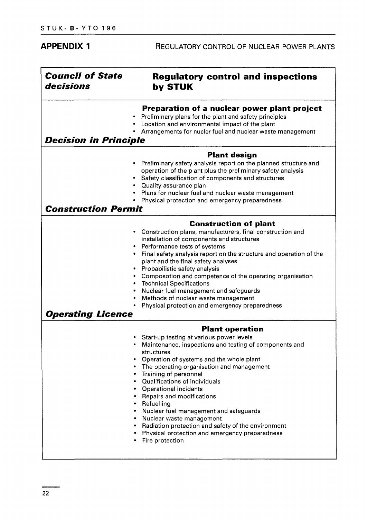| <b>APPENDIX 1</b>                    | REGULATORY CONTROL OF NUCLEAR POWER PLANTS                                                                                                                                                                                                                                                                                                                                                                                                                                                                                                                                                       |
|--------------------------------------|--------------------------------------------------------------------------------------------------------------------------------------------------------------------------------------------------------------------------------------------------------------------------------------------------------------------------------------------------------------------------------------------------------------------------------------------------------------------------------------------------------------------------------------------------------------------------------------------------|
| <b>Council of State</b><br>decisions | <b>Regulatory control and inspections</b><br>by STUK                                                                                                                                                                                                                                                                                                                                                                                                                                                                                                                                             |
| <b>Decision in Principle</b>         | Preparation of a nuclear power plant project<br>Preliminary plans for the plant and safety principles<br>Location and environmental impact of the plant<br>Arrangements for nucler fuel and nuclear waste management                                                                                                                                                                                                                                                                                                                                                                             |
| <b>Construction Permit</b>           | <b>Plant design</b><br>Preliminary safety analysis report on the planned structure and<br>operation of the plant plus the preliminary safety analysis<br>Safety classification of components and structures<br>Quality assurance plan<br>Plans for nuclear fuel and nuclear waste management<br>Physical protection and emergency preparedness                                                                                                                                                                                                                                                   |
| Operating Licence                    | <b>Construction of plant</b><br>Construction plans, manufacturers, final construction and<br>installation of components and structures<br>Performance tests of systems<br>Final safety analysis report on the structure and operation of the<br>plant and the final safety analyses<br>Probabilistic safety analysis<br>Composotion and competence of the operating organisation<br><b>Technical Specifications</b><br>Nuclear fuel management and safeguards<br>Methods of nuclear waste management<br>Physical protection and emergency preparedness                                           |
|                                      | <b>Plant operation</b><br>• Start-up testing at various power levels<br>• Maintenance, inspections and testing of components and<br>structures<br>Operation of systems and the whole plant<br>• The operating organisation and management<br>• Training of personnel<br>• Qualifications of individuals<br>• Operational incidents<br>• Repairs and modifications<br>• Refuelling<br>• Nuclear fuel management and safeguards<br>• Nuclear waste management<br>Radiation protection and safety of the environment<br>٠<br>Physical protection and emergency preparedness<br>٠<br>Fire protection |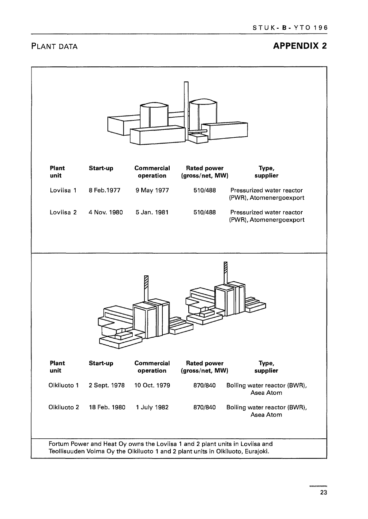### **PLANT DATA** *PLANT DATA*

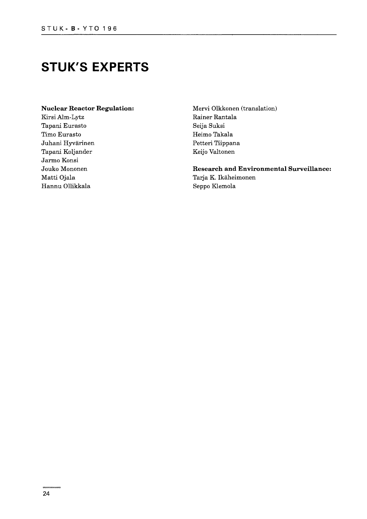### **STUK'S EXPERTS**

#### **Nuclear Reactor Regulation:**

Kirsi Alm-Lytz Tapani Eurasto Timo Eurasto Juhani Hyvärinen Tapani Koljander Jarmo Konsi Jouko Mononen Matti Ojala Hannu Ollikkala

Mervi Olkkonen (translation) Rainer Rantala Seija Suksi Heimo Takala Petteri Tiippana Keijo Valtonen

**Research and Environmental Surveillance:** Tarja K. Ikäheimonen Seppo Klemola